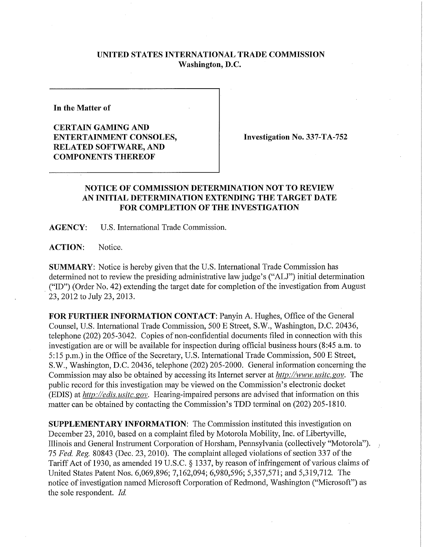## **UNITED STATES INTERNATIONAL TRADE COMMISSION Washington, D.C.**

**In the Matter of** 

**CERTAIN GAMING AND ENTERTAINMENT CONSOLES, RELATED SOFTWARE, AND COMPONENTS THEREOF** 

**Investigation No. 337-TA-752** 

## **NOTICE OF COMMISSION DETERMINATION NOT TO REVIEW AN INITIAL DETERMINATION EXTENDING THE TARGET DATE FOR COMPLETION OF THE INVESTIGATION**

**AGENCY:** U.S. International Trade Commission.

ACTION: Notice.

**SUMMARY:** Notice is hereby given that the U.S. International Trade Commission has determined not to review the presiding administrative law judge's ("ALJ") initial determination ("ID") (Order No. 42) extending the target date for completion of the investigation from August 23, 2012 to July 23, 2013.

**FOR FURTHER INFORMATION CONTACT: Panyin A. Hughes, Office of the General** Counsel, U.S. International Trade Commission, 500 E Street, S.W., Washington, D.C. 20436, telephone (202) 205-3042. Copies of non-confidential documents filed in connection with this investigation are or will be available for inspection during official business hours (8:45 a.m. to 5:15 p.m.) in the Office of the Secretary, U.S. International Trade Commission, 500 E Street, S.W., Washington, D.C. 20436, telephone (202) 205-2000. General infonnation concerning the Commission may also be obtained by accessing its Internet server at *http://www. usitc. gov.* The public record for this investigation may be viewed on the Commission's electronic docket (EDIS) at *http://edis. usitc. gov.* Hearing-impaired persons are advised that infonnation on this matter can be obtained by contacting the Commission's TDD terminal on (202) 205-1810.

**SUPPLEMENTARY INFORMATION:** The Commission instituted this investigation on December 23, 2010, based on a complaint filed by Motorola Mobility, Inc. of Libertyville, Illinois and General Instrument Corporation of Horsham, Pennsylvania (collectively "Motorola"). 75 *Fed. Reg.* 80843 (Dec. 23, 2010). The complaint alleged violations of section 337 of the Tariff Act of 1930, as amended 19 U.S.C. § 1337, by reason of infringement of various claims of United States Patent Nos. 6,069,896; 7,162,094; 6,980,596; 5,357,571; and 5,319,712. The notice of investigation named Microsoft Corporation of Redmond, Washington ("Microsoft") as the sole respondent. *Id,*